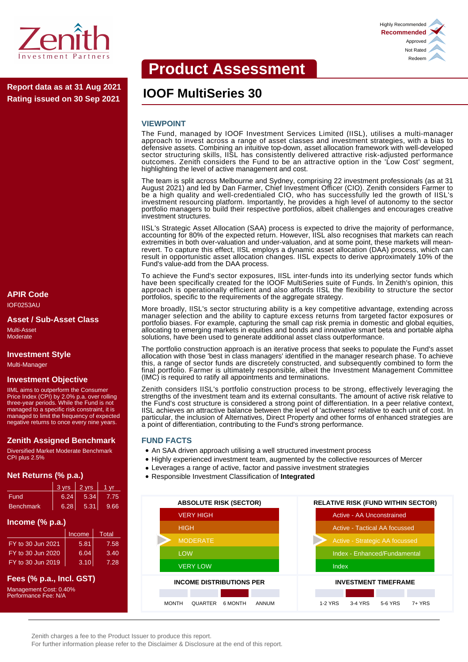

**IOOF MultiSeries 30 Report data as at 31 Aug 2021 Rating issued on 30 Sep 2021**

# **APIR Code**

IOF0253AU

#### **Asset / Sub-Asset Class**

Multi-Asset **Moderate** 

### **Investment Style**

Multi-Manager

#### **Investment Objective**

IIML aims to outperform the Consumer Price Index (CPI) by 2.0% p.a. over rolling three-year periods. While the Fund is not managed to a specific risk constraint, it is managed to limit the frequency of expected negative returns to once every nine years.

#### **Zenith Assigned Benchmark**

Diversified Market Moderate Benchmark CPI plus 2.5%

# **Net Returns (% p.a.)**

|                  | $3 \text{ vrs}$ 2 vrs |      | 1 vr |
|------------------|-----------------------|------|------|
| <b>Fund</b>      | 6.24.                 | 5.34 | 7.75 |
| <b>Benchmark</b> | 6.28                  | 5.31 | 9.66 |

# **Income (% p.a.)**

|                   | Income | Total. |
|-------------------|--------|--------|
| FY to 30 Jun 2021 | 5.81   | 7.58   |
| FY to 30 Jun 2020 | 6.04   | 3.40   |
| FY to 30 Jun 2019 | 3.10   | 7.28   |

# **Fees (% p.a., Incl. GST)**

Management Cost: 0.40% Performance Fee: N/A

# **Product Assessment**

#### **VIEWPOINT**

The Fund, managed by IOOF Investment Services Limited (IISL), utilises a multi-manager approach to invest across a range of asset classes and investment strategies, with a bias to defensive assets. Combining an intuitive top-down, asset allocation framework with well-developed sector structuring skills, IISL has consistently delivered attractive risk-adjusted performance outcomes. Zenith considers the Fund to be an attractive option in the 'Low Cost' segment, highlighting the level of active management and cost.

The team is split across Melbourne and Sydney, comprising 22 investment professionals (as at 31 August 2021) and led by Dan Farmer, Chief Investment Officer (CIO). Zenith considers Farmer to be a high quality and well-credentialed CIO, who has successfully led the growth of IISL's investment resourcing platform. Importantly, he provides a high level of autonomy to the sector portfolio managers to build their respective portfolios, albeit challenges and encourages creative investment structures.

IISL's Strategic Asset Allocation (SAA) process is expected to drive the majority of performance, accounting for 80% of the expected return. However, IISL also recognises that markets can reach extremities in both over-valuation and under-valuation, and at some point, these markets will meanrevert. To capture this effect, IISL employs a dynamic asset allocation (DAA) process, which can result in opportunistic asset allocation changes. IISL expects to derive approximately 10% of the Fund's value-add from the DAA process.

To achieve the Fund's sector exposures, IISL inter-funds into its underlying sector funds which have been specifically created for the IOOF MultiSeries suite of Funds. In Zenith's opinion, this approach is operationally efficient and also affords IISL the flexibility to structure the sector portfolios, specific to the requirements of the aggregate strategy.

More broadly, IISL's sector structuring ability is a key competitive advantage, extending across manager selection and the ability to capture excess returns from targeted factor exposures or portfolio biases. For example, capturing the small cap risk premia in domestic and global equities, allocating to emerging markets in equities and bonds and innovative smart beta and portable alpha solutions, have been used to generate additional asset class outperformance.

The portfolio construction approach is an iterative process that seeks to populate the Fund's asset allocation with those 'best in class managers' identified in the manager research phase. To achieve this, a range of sector funds are discretely constructed, and subsequently combined to form the final portfolio. Farmer is ultimately responsible, albeit the Investment Management Committee (IMC) is required to ratify all appointments and terminations.

Zenith considers IISL's portfolio construction process to be strong, effectively leveraging the strengths of the investment team and its external consultants. The amount of active risk relative to the Fund's cost structure is considered a strong point of differentiation. In a peer relative context, IISL achieves an attractive balance between the level of 'activeness' relative to each unit of cost. In particular, the inclusion of Alternatives, Direct Property and other forms of enhanced strategies are a point of differentiation, contributing to the Fund's strong performance.

#### **FUND FACTS**

- An SAA driven approach utilising a well structured investment process
- Highly experienced investment team, augmented by the collective resources of Mercer
- Leverages a range of active, factor and passive investment strategies
- Responsible Investment Classification of **Integrated**



Zenith charges a fee to the Product Issuer to produce this report.

For further information please refer to the Disclaimer & Disclosure at the end of this report.

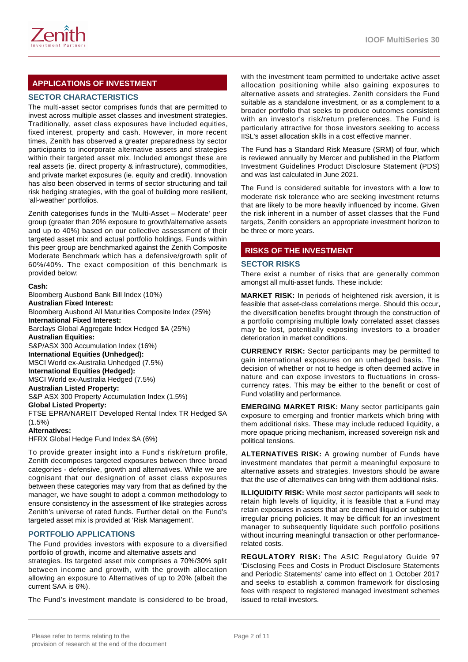

# **APPLICATIONS OF INVESTMENT**

# **SECTOR CHARACTERISTICS**

The multi-asset sector comprises funds that are permitted to invest across multiple asset classes and investment strategies. Traditionally, asset class exposures have included equities, fixed interest, property and cash. However, in more recent times, Zenith has observed a greater preparedness by sector participants to incorporate alternative assets and strategies within their targeted asset mix. Included amongst these are real assets (ie. direct property & infrastructure), commodities, and private market exposures (ie. equity and credit). Innovation has also been observed in terms of sector structuring and tail risk hedging strategies, with the goal of building more resilient, 'all-weather' portfolios.

Zenith categorises funds in the 'Multi-Asset – Moderate' peer group (greater than 20% exposure to growth/alternative assets and up to 40%) based on our collective assessment of their targeted asset mix and actual portfolio holdings. Funds within this peer group are benchmarked against the Zenith Composite Moderate Benchmark which has a defensive/growth split of 60%/40%. The exact composition of this benchmark is provided below:

#### **Cash:**

Bloomberg Ausbond Bank Bill Index (10%) **Australian Fixed Interest:** Bloomberg Ausbond All Maturities Composite Index (25%) **International Fixed Interest:** Barclays Global Aggregate Index Hedged \$A (25%) **Australian Equities:** S&P/ASX 300 Accumulation Index (16%) **International Equities (Unhedged):** MSCI World ex-Australia Unhedged (7.5%) **International Equities (Hedged):** MSCI World ex-Australia Hedged (7.5%) **Australian Listed Property:** S&P ASX 300 Property Accumulation Index (1.5%) **Global Listed Property:** FTSE EPRA/NAREIT Developed Rental Index TR Hedged \$A (1.5%) **Alternatives:** HFRX Global Hedge Fund Index \$A (6%)

To provide greater insight into a Fund's risk/return profile, Zenith decomposes targeted exposures between three broad categories - defensive, growth and alternatives. While we are cognisant that our designation of asset class exposures between these categories may vary from that as defined by the manager, we have sought to adopt a common methodology to ensure consistency in the assessment of like strategies across Zenith's universe of rated funds. Further detail on the Fund's targeted asset mix is provided at 'Risk Management'.

#### **PORTFOLIO APPLICATIONS**

The Fund provides investors with exposure to a diversified portfolio of growth, income and alternative assets and

strategies. Its targeted asset mix comprises a 70%/30% split between income and growth, with the growth allocation allowing an exposure to Alternatives of up to 20% (albeit the current SAA is 6%).

The Fund's investment mandate is considered to be broad,

with the investment team permitted to undertake active asset allocation positioning while also gaining exposures to alternative assets and strategies. Zenith considers the Fund suitable as a standalone investment, or as a complement to a broader portfolio that seeks to produce outcomes consistent with an investor's risk/return preferences. The Fund is particularly attractive for those investors seeking to access IISL's asset allocation skills in a cost effective manner.

The Fund has a Standard Risk Measure (SRM) of four, which is reviewed annually by Mercer and published in the Platform Investment Guidelines Product Disclosure Statement (PDS) and was last calculated in June 2021.

The Fund is considered suitable for investors with a low to moderate risk tolerance who are seeking investment returns that are likely to be more heavily influenced by income. Given the risk inherent in a number of asset classes that the Fund targets, Zenith considers an appropriate investment horizon to be three or more years.

# **RISKS OF THE INVESTMENT**

#### **SECTOR RISKS**

There exist a number of risks that are generally common amongst all multi-asset funds. These include:

**MARKET RISK:** In periods of heightened risk aversion, it is feasible that asset-class correlations merge. Should this occur, the diversification benefits brought through the construction of a portfolio comprising multiple lowly correlated asset classes may be lost, potentially exposing investors to a broader deterioration in market conditions.

**CURRENCY RISK:** Sector participants may be permitted to gain international exposures on an unhedged basis. The decision of whether or not to hedge is often deemed active in nature and can expose investors to fluctuations in crosscurrency rates. This may be either to the benefit or cost of Fund volatility and performance.

**EMERGING MARKET RISK:** Many sector participants gain exposure to emerging and frontier markets which bring with them additional risks. These may include reduced liquidity, a more opaque pricing mechanism, increased sovereign risk and political tensions.

**ALTERNATIVES RISK:** A growing number of Funds have investment mandates that permit a meaningful exposure to alternative assets and strategies. Investors should be aware that the use of alternatives can bring with them additional risks.

**ILLIQUIDITY RISK:** While most sector participants will seek to retain high levels of liquidity, it is feasible that a Fund may retain exposures in assets that are deemed illiquid or subject to irregular pricing policies. It may be difficult for an investment manager to subsequently liquidate such portfolio positions without incurring meaningful transaction or other performancerelated costs.

**REGULATORY RISK:** The ASIC Regulatory Guide 97 'Disclosing Fees and Costs in Product Disclosure Statements and Periodic Statements' came into effect on 1 October 2017 and seeks to establish a common framework for disclosing fees with respect to registered managed investment schemes issued to retail investors.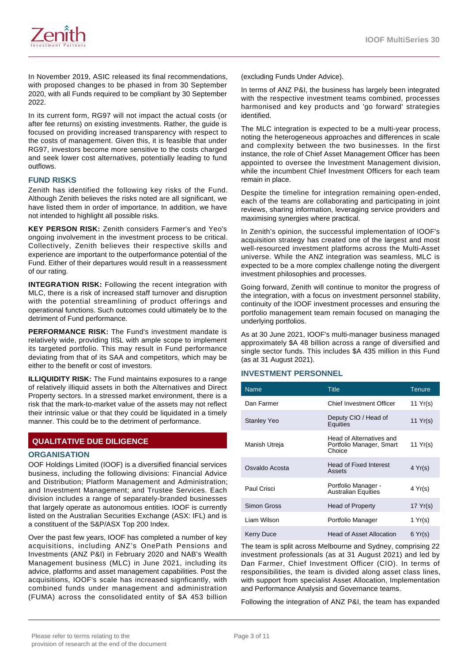

In November 2019, ASIC released its final recommendations, with proposed changes to be phased in from 30 September 2020, with all Funds required to be compliant by 30 September 2022.

In its current form, RG97 will not impact the actual costs (or after fee returns) on existing investments. Rather, the guide is focused on providing increased transparency with respect to the costs of management. Given this, it is feasible that under RG97, investors become more sensitive to the costs charged and seek lower cost alternatives, potentially leading to fund outflows.

### **FUND RISKS**

Zenith has identified the following key risks of the Fund. Although Zenith believes the risks noted are all significant, we have listed them in order of importance. In addition, we have not intended to highlight all possible risks.

**KEY PERSON RISK:** Zenith considers Farmer's and Yeo's ongoing involvement in the investment process to be critical. Collectively, Zenith believes their respective skills and experience are important to the outperformance potential of the Fund. Either of their departures would result in a reassessment of our rating.

**INTEGRATION RISK:** Following the recent integration with MLC, there is a risk of increased staff turnover and disruption with the potential streamlining of product offerings and operational functions. Such outcomes could ultimately be to the detriment of Fund performance.

**PERFORMANCE RISK:** The Fund's investment mandate is relatively wide, providing IISL with ample scope to implement its targeted portfolio. This may result in Fund performance deviating from that of its SAA and competitors, which may be either to the benefit or cost of investors.

**ILLIQUIDITY RISK:** The Fund maintains exposures to a range of relatively illiquid assets in both the Alternatives and Direct Property sectors. In a stressed market environment, there is a risk that the mark-to-market value of the assets may not reflect their intrinsic value or that they could be liquidated in a timely manner. This could be to the detriment of performance.

# **QUALITATIVE DUE DILIGENCE**

#### **ORGANISATION**

OOF Holdings Limited (IOOF) is a diversified financial services business, including the following divisions: Financial Advice and Distribution; Platform Management and Administration; and Investment Management; and Trustee Services. Each division includes a range of separately-branded businesses that largely operate as autonomous entities. IOOF is currently listed on the Australian Securities Exchange (ASX: IFL) and is a constituent of the S&P/ASX Top 200 Index.

Over the past few years, IOOF has completed a number of key acquisitions, including ANZ's OnePath Pensions and Investments (ANZ P&I) in February 2020 and NAB's Wealth Management business (MLC) in June 2021, including its advice, platforms and asset management capabilities. Post the acquisitions, IOOF's scale has increased signficantly, with combined funds under management and administration (FUMA) across the consolidated entity of \$A 453 billion

(excluding Funds Under Advice).

In terms of ANZ P&I, the business has largely been integrated with the respective investment teams combined, processes harmonised and key products and 'go forward' strategies identified.

The MLC integration is expected to be a multi-year process, noting the heterogeneous approaches and differences in scale and complexity between the two businesses. In the first instance, the role of Chief Asset Management Officer has been appointed to oversee the Investment Management division, while the incumbent Chief Investment Officers for each team remain in place.

Despite the timeline for integration remaining open-ended, each of the teams are collaborating and participating in joint reviews, sharing information, leveraging service providers and maximising synergies where practical.

In Zenith's opinion, the successful implementation of IOOF's acquisition strategy has created one of the largest and most well-resourced investment platforms across the Multi-Asset universe. While the ANZ integration was seamless, MLC is expected to be a more complex challenge noting the divergent investment philosophies and processes.

Going forward, Zenith will continue to monitor the progress of the integration, with a focus on investment personnel stability, continuity of the IOOF investment processes and ensuring the portfolio management team remain focused on managing the underlying portfolios.

As at 30 June 2021, IOOF's multi-manager business managed approximately \$A 48 billion across a range of diversified and single sector funds. This includes \$A 435 million in this Fund (as at 31 August 2021).

# **INVESTMENT PERSONNEL**

| <b>Name</b>        | <b>Title</b>                                                   | <b>Tenure</b> |
|--------------------|----------------------------------------------------------------|---------------|
| Dan Farmer         | Chief Investment Officer                                       | 11 $Yr(s)$    |
| <b>Stanley Yeo</b> | Deputy CIO / Head of<br>Equities                               | 11 $Yr(s)$    |
| Manish Utreja      | Head of Alternatives and<br>Portfolio Manager, Smart<br>Choice | 11 $Yr(s)$    |
| Osvaldo Acosta     | <b>Head of Fixed Interest</b><br>Assets                        | 4 Yr(s)       |
| Paul Crisci        | Portfolio Manager -<br><b>Australian Equities</b>              | 4 Yr(s)       |
| Simon Gross        | Head of Property                                               | 17 $Yr(s)$    |
| I jam Wilson       | Portfolio Manager                                              | 1 $Yr(s)$     |
| Kerry Duce         | <b>Head of Asset Allocation</b>                                | 6 Yr(s)       |

The team is split across Melbourne and Sydney, comprising 22 investment professionals (as at 31 August 2021) and led by Dan Farmer, Chief Investment Officer (CIO). In terms of responsibilities, the team is divided along asset class lines, with support from specialist Asset Allocation, Implementation and Performance Analysis and Governance teams.

Following the integration of ANZ P&I, the team has expanded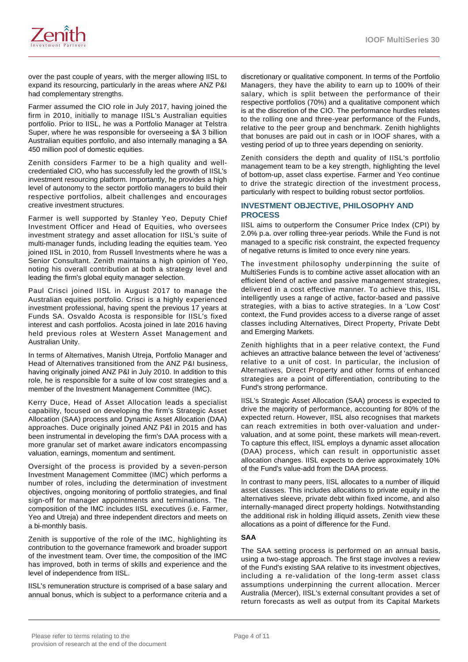

over the past couple of years, with the merger allowing IISL to expand its resourcing, particularly in the areas where ANZ P&I had complementary strengths.

Farmer assumed the CIO role in July 2017, having joined the firm in 2010, initially to manage IISL's Australian equities portfolio. Prior to IISL, he was a Portfolio Manager at Telstra Super, where he was responsible for overseeing a \$A 3 billion Australian equities portfolio, and also internally managing a \$A 450 million pool of domestic equities.

Zenith considers Farmer to be a high quality and wellcredentialed CIO, who has successfully led the growth of IISL's investment resourcing platform. Importantly, he provides a high level of autonomy to the sector portfolio managers to build their respective portfolios, albeit challenges and encourages creative investment structures.

Farmer is well supported by Stanley Yeo, Deputy Chief Investment Officer and Head of Equities, who oversees investment strategy and asset allocation for IISL's suite of multi-manager funds, including leading the equities team. Yeo joined IISL in 2010, from Russell Investments where he was a Senior Consultant. Zenith maintains a high opinion of Yeo, noting his overall contribution at both a strategy level and leading the firm's global equity manager selection.

Paul Crisci joined IISL in August 2017 to manage the Australian equities portfolio. Crisci is a highly experienced investment professional, having spent the previous 17 years at Funds SA. Osvaldo Acosta is responsible for IISL's fixed interest and cash portfolios. Acosta joined in late 2016 having held previous roles at Western Asset Management and Australian Unity.

In terms of Alternatives, Manish Utreja, Portfolio Manager and Head of Alternatives transitioned from the ANZ P&I business, having originally joined ANZ P&I in July 2010. In addition to this role, he is responsible for a suite of low cost strategies and a member of the Investment Management Committee (IMC).

Kerry Duce, Head of Asset Allocation leads a specialist capability, focused on developing the firm's Strategic Asset Allocation (SAA) process and Dynamic Asset Allocation (DAA) approaches. Duce originally joined ANZ P&I in 2015 and has been instrumental in developing the firm's DAA process with a more granular set of market aware indicators encompassing valuation, earnings, momentum and sentiment.

Oversight of the process is provided by a seven-person Investment Management Committee (IMC) which performs a number of roles, including the determination of investment objectives, ongoing monitoring of portfolio strategies, and final sign-off for manager appointments and terminations. The composition of the IMC includes IISL executives (i.e. Farmer, Yeo and Utreja) and three independent directors and meets on a bi-monthly basis.

Zenith is supportive of the role of the IMC, highlighting its contribution to the governance framework and broader support of the investment team. Over time, the composition of the IMC has improved, both in terms of skills and experience and the level of independence from IISL.

IISL's remuneration structure is comprised of a base salary and annual bonus, which is subject to a performance criteria and a

discretionary or qualitative component. In terms of the Portfolio Managers, they have the ability to earn up to 100% of their salary, which is split between the performance of their respective portfolios (70%) and a qualitative component which is at the discretion of the CIO. The performance hurdles relates to the rolling one and three-year performance of the Funds, relative to the peer group and benchmark. Zenith highlights that bonuses are paid out in cash or in IOOF shares, with a vesting period of up to three years depending on seniority.

Zenith considers the depth and quality of IISL's portfolio management team to be a key strength, highlighting the level of bottom-up, asset class expertise. Farmer and Yeo continue to drive the strategic direction of the investment process, particularly with respect to building robust sector portfolios.

### **INVESTMENT OBJECTIVE, PHILOSOPHY AND PROCESS**

IISL aims to outperform the Consumer Price Index (CPI) by 2.0% p.a. over rolling three-year periods. While the Fund is not managed to a specific risk constraint, the expected frequency of negative returns is limited to once every nine years.

The investment philosophy underpinning the suite of MultiSeries Funds is to combine active asset allocation with an efficient blend of active and passive management strategies, delivered in a cost effective manner. To achieve this, IISL intelligently uses a range of active, factor-based and passive strategies, with a bias to active strategies. In a 'Low Cost' context, the Fund provides access to a diverse range of asset classes including Alternatives, Direct Property, Private Debt and Emerging Markets.

Zenith highlights that in a peer relative context, the Fund achieves an attractive balance between the level of 'activeness' relative to a unit of cost. In particular, the inclusion of Alternatives, Direct Property and other forms of enhanced strategies are a point of differentiation, contributing to the Fund's strong performance.

IISL's Strategic Asset Allocation (SAA) process is expected to drive the majority of performance, accounting for 80% of the expected return. However, IISL also recognises that markets can reach extremities in both over-valuation and undervaluation, and at some point, these markets will mean-revert. To capture this effect, IISL employs a dynamic asset allocation (DAA) process, which can result in opportunistic asset allocation changes. IISL expects to derive approximately 10% of the Fund's value-add from the DAA process.

In contrast to many peers, IISL allocates to a number of illiquid asset classes. This includes allocations to private equity in the alternatives sleeve, private debt within fixed income, and also internally-managed direct property holdings. Notwithstanding the additional risk in holding illiquid assets, Zenith view these allocations as a point of difference for the Fund.

#### **SAA**

The SAA setting process is performed on an annual basis, using a two-stage approach. The first stage involves a review of the Fund's existing SAA relative to its investment objectives, including a re-validation of the long-term asset class assumptions underpinning the current allocation. Mercer Australia (Mercer), IISL's external consultant provides a set of return forecasts as well as output from its Capital Markets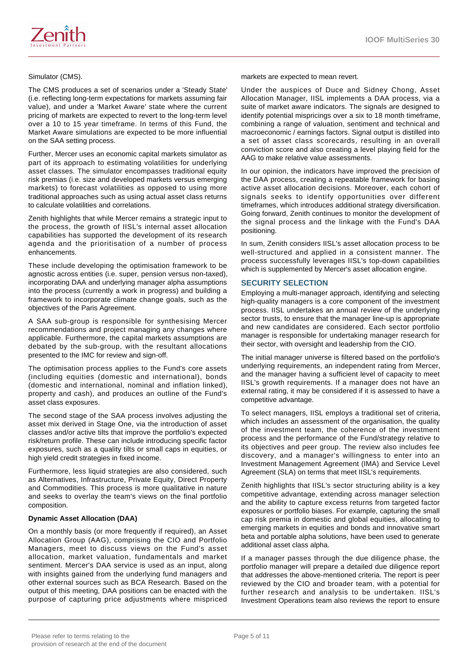

The CMS produces a set of scenarios under a 'Steady State' (i.e. reflecting long-term expectations for markets assuming fair value), and under a 'Market Aware' state where the current pricing of markets are expected to revert to the long-term level over a 10 to 15 year timeframe. In terms of this Fund, the Market Aware simulations are expected to be more influential on the SAA setting process.

Further, Mercer uses an economic capital markets simulator as part of its approach to estimating volatilities for underlying asset classes. The simulator encompasses traditional equity risk premias (i.e. size and developed markets versus emerging markets) to forecast volatilities as opposed to using more traditional approaches such as using actual asset class returns to calculate volatilities and correlations.

Zenith highlights that while Mercer remains a strategic input to the process, the growth of IISL's internal asset allocation capabilities has supported the development of its research agenda and the prioritisation of a number of process enhancements.

These include developing the optimisation framework to be agnostic across entities (i.e. super, pension versus non-taxed), incorporating DAA and underlying manager alpha assumptions into the process (currently a work in progress) and building a framework to incorporate climate change goals, such as the objectives of the Paris Agreement.

A SAA sub-group is responsible for synthesising Mercer recommendations and project managing any changes where applicable. Furthermore, the capital markets assumptions are debated by the sub-group, with the resultant allocations presented to the IMC for review and sign-off.

The optimisation process applies to the Fund's core assets (including equities (domestic and international), bonds (domestic and international, nominal and inflation linked), property and cash), and produces an outline of the Fund's asset class exposures.

The second stage of the SAA process involves adjusting the asset mix derived in Stage One, via the introduction of asset classes and/or active tilts that improve the portfolio's expected risk/return profile. These can include introducing specific factor exposures, such as a quality tilts or small caps in equities, or high yield credit strategies in fixed income.

Furthermore, less liquid strategies are also considered, such as Alternatives, Infrastructure, Private Equity, Direct Property and Commodities. This process is more qualitative in nature and seeks to overlay the team's views on the final portfolio composition.

#### **Dynamic Asset Allocation (DAA)**

On a monthly basis (or more frequently if required), an Asset Allocation Group (AAG), comprising the CIO and Portfolio Managers, meet to discuss views on the Fund's asset allocation, market valuation, fundamentals and market sentiment. Mercer's DAA service is used as an input, along with insights gained from the underlying fund managers and other external sources such as BCA Research. Based on the output of this meeting, DAA positions can be enacted with the purpose of capturing price adjustments where mispriced

markets are expected to mean revert.

Under the auspices of Duce and Sidney Chong, Asset Allocation Manager, IISL implements a DAA process, via a suite of market aware indicators. The signals are designed to identify potential mispricings over a six to 18 month timeframe, combining a range of valuation, sentiment and technical and macroeconomic / earnings factors. Signal output is distilled into a set of asset class scorecards, resulting in an overall conviction score and also creating a level playing field for the AAG to make relative value assessments.

In our opinion, the indicators have improved the precision of the DAA process, creating a repeatable framework for basing active asset allocation decisions. Moreover, each cohort of signals seeks to identify opportunities over different timeframes, which introduces additional strategy diversification. Going forward, Zenith continues to monitor the development of the signal process and the linkage with the Fund's DAA positioning.

In sum, Zenith considers IISL's asset allocation process to be well-structured and applied in a consistent manner. The process successfully leverages IISL's top-down capabilities which is supplemented by Mercer's asset allocation engine.

### **SECURITY SELECTION**

Employing a multi-manager approach, identifying and selecting high-quality managers is a core component of the investment process. IISL undertakes an annual review of the underlying sector trusts, to ensure that the manager line-up is appropriate and new candidates are considered. Each sector portfolio manager is responsible for undertaking manager research for their sector, with oversight and leadership from the CIO.

The initial manager universe is filtered based on the portfolio's underlying requirements, an independent rating from Mercer, and the manager having a sufficient level of capacity to meet IISL's growth requirements. If a manager does not have an external rating, it may be considered if it is assessed to have a competitive advantage.

To select managers, IISL employs a traditional set of criteria, which includes an assessment of the organisation, the quality of the investment team, the coherence of the investment process and the performance of the Fund/strategy relative to its objectives and peer group. The review also includes fee discovery, and a manager's willingness to enter into an Investment Management Agreement (IMA) and Service Level Agreement (SLA) on terms that meet IISL's requirements.

Zenith highlights that IISL's sector structuring ability is a key competitive advantage, extending across manager selection and the ability to capture excess returns from targeted factor exposures or portfolio biases. For example, capturing the small cap risk premia in domestic and global equities, allocating to emerging markets in equities and bonds and innovative smart beta and portable alpha solutions, have been used to generate additional asset class alpha.

If a manager passes through the due diligence phase, the portfolio manager will prepare a detailed due diligence report that addresses the above-mentioned criteria. The report is peer reviewed by the CIO and broader team, with a potential for further research and analysis to be undertaken. IISL's Investment Operations team also reviews the report to ensure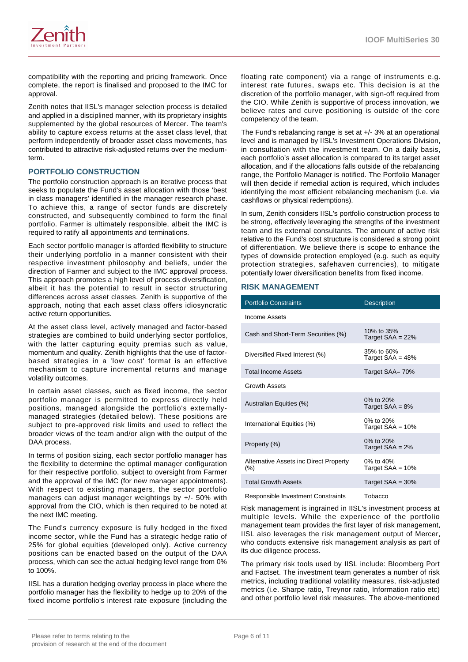

compatibility with the reporting and pricing framework. Once complete, the report is finalised and proposed to the IMC for approval.

Zenith notes that IISL's manager selection process is detailed and applied in a disciplined manner, with its proprietary insights supplemented by the global resources of Mercer. The team's ability to capture excess returns at the asset class level, that perform independently of broader asset class movements, has contributed to attractive risk-adjusted returns over the mediumterm.

#### **PORTFOLIO CONSTRUCTION**

The portfolio construction approach is an iterative process that seeks to populate the Fund's asset allocation with those 'best in class managers' identified in the manager research phase. To achieve this, a range of sector funds are discretely constructed, and subsequently combined to form the final portfolio. Farmer is ultimately responsible, albeit the IMC is required to ratify all appointments and terminations.

Each sector portfolio manager is afforded flexibility to structure their underlying portfolio in a manner consistent with their respective investment philosophy and beliefs, under the direction of Farmer and subject to the IMC approval process. This approach promotes a high level of process diversification, albeit it has the potential to result in sector structuring differences across asset classes. Zenith is supportive of the approach, noting that each asset class offers idiosyncratic active return opportunities.

At the asset class level, actively managed and factor-based strategies are combined to build underlying sector portfolios, with the latter capturing equity premias such as value, momentum and quality. Zenith highlights that the use of factorbased strategies in a 'low cost' format is an effective mechanism to capture incremental returns and manage volatility outcomes.

In certain asset classes, such as fixed income, the sector portfolio manager is permitted to express directly held positions, managed alongside the portfolio's externallymanaged strategies (detailed below). These positions are subject to pre-approved risk limits and used to reflect the broader views of the team and/or align with the output of the DAA process.

In terms of position sizing, each sector portfolio manager has the flexibility to determine the optimal manager configuration for their respective portfolio, subject to oversight from Farmer and the approval of the IMC (for new manager appointments). With respect to existing managers, the sector portfolio managers can adjust manager weightings by +/- 50% with approval from the CIO, which is then required to be noted at the next IMC meeting.

The Fund's currency exposure is fully hedged in the fixed income sector, while the Fund has a strategic hedge ratio of 25% for global equities (developed only). Active currency positions can be enacted based on the output of the DAA process, which can see the actual hedging level range from 0% to 100%.

IISL has a duration hedging overlay process in place where the portfolio manager has the flexibility to hedge up to 20% of the fixed income portfolio's interest rate exposure (including the floating rate component) via a range of instruments e.g. interest rate futures, swaps etc. This decision is at the discretion of the portfolio manager, with sign-off required from the CIO. While Zenith is supportive of process innovation, we believe rates and curve positioning is outside of the core competency of the team.

The Fund's rebalancing range is set at +/- 3% at an operational level and is managed by IISL's Investment Operations Division, in consultation with the investment team. On a daily basis, each portfolio's asset allocation is compared to its target asset allocation, and if the allocations falls outside of the rebalancing range, the Portfolio Manager is notified. The Portfolio Manager will then decide if remedial action is required, which includes identifying the most efficient rebalancing mechanism (i.e. via cashflows or physical redemptions).

In sum, Zenith considers IISL's portfolio construction process to be strong, effectively leveraging the strengths of the investment team and its external consultants. The amount of active risk relative to the Fund's cost structure is considered a strong point of differentiation. We believe there is scope to enhance the types of downside protection employed (e.g. such as equity protection strategies, safehaven currencies), to mitigate potentially lower diversification benefits from fixed income.

#### **RISK MANAGEMENT**

| <b>Portfolio Constraints</b>                      | <b>Description</b>                 |
|---------------------------------------------------|------------------------------------|
| Income Assets                                     |                                    |
| Cash and Short-Term Securities (%)                | 10\% to 35\%<br>Target $SAA = 22%$ |
| Diversified Fixed Interest (%)                    | 35% to 60%<br>Target $SAA = 48%$   |
| <b>Total Income Assets</b>                        | Target SAA= 70%                    |
| <b>Growth Assets</b>                              |                                    |
| Australian Equities (%)                           | 0% to 20%<br>Target $SAA = 8%$     |
| International Equities (%)                        | 0% to 20%<br>Target $SAA = 10%$    |
| Property (%)                                      | 0% to 20%<br>Target $SAA = 2\%$    |
| Alternative Assets inc Direct Property<br>$(\% )$ | 0% to 40%<br>Target $SAA = 10%$    |
| <b>Total Growth Assets</b>                        | Target $SAA = 30\%$                |
| Responsible Investment Constraints                | Tobacco                            |

Risk management is ingrained in IISL's investment process at multiple levels. While the experience of the portfolio management team provides the first layer of risk management, IISL also leverages the risk management output of Mercer, who conducts extensive risk management analysis as part of its due diligence process.

The primary risk tools used by IISL include: Bloomberg Port and Factset. The investment team generates a number of risk metrics, including traditional volatility measures, risk-adjusted metrics (i.e. Sharpe ratio, Treynor ratio, Information ratio etc) and other portfolio level risk measures. The above-mentioned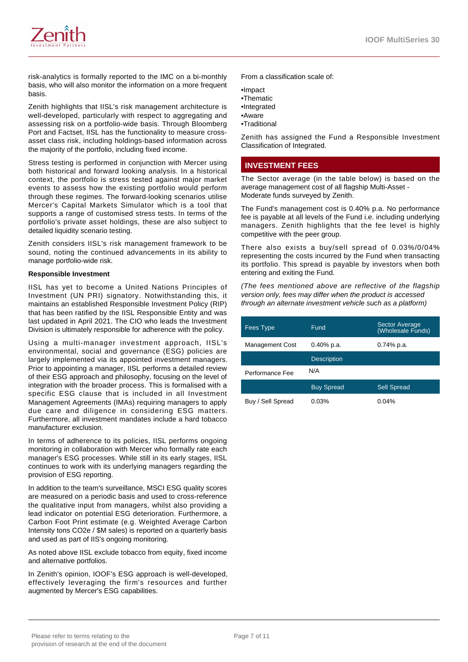

risk-analytics is formally reported to the IMC on a bi-monthly basis, who will also monitor the information on a more frequent basis.

Zenith highlights that IISL's risk management architecture is well-developed, particularly with respect to aggregating and assessing risk on a portfolio-wide basis. Through Bloomberg Port and Factset, IISL has the functionality to measure crossasset class risk, including holdings-based information across the majority of the portfolio, including fixed income.

Stress testing is performed in conjunction with Mercer using both historical and forward looking analysis. In a historical context, the portfolio is stress tested against major market events to assess how the existing portfolio would perform through these regimes. The forward-looking scenarios utilise Mercer's Capital Markets Simulator which is a tool that supports a range of customised stress tests. In terms of the portfolio's private asset holdings, these are also subject to detailed liquidity scenario testing.

Zenith considers IISL's risk management framework to be sound, noting the continued advancements in its ability to manage portfolio-wide risk.

#### **Responsible Investment**

IISL has yet to become a United Nations Principles of Investment (UN PRI) signatory. Notwithstanding this, it maintains an established Responsible Investment Policy (RIP) that has been ratified by the IISL Responsible Entity and was last updated in April 2021. The CIO who leads the Investment Division is ultimately responsible for adherence with the policy.

Using a multi-manager investment approach, IISL's environmental, social and governance (ESG) policies are largely implemented via its appointed investment managers. Prior to appointing a manager, IISL performs a detailed review of their ESG approach and philosophy, focusing on the level of integration with the broader process. This is formalised with a specific ESG clause that is included in all Investment Management Agreements (IMAs) requiring managers to apply due care and diligence in considering ESG matters. Furthermore, all investment mandates include a hard tobacco manufacturer exclusion.

In terms of adherence to its policies, IISL performs ongoing monitoring in collaboration with Mercer who formally rate each manager's ESG processes. While still in its early stages, IISL continues to work with its underlying managers regarding the provision of ESG reporting.

In addition to the team's surveillance, MSCI ESG quality scores are measured on a periodic basis and used to cross-reference the qualitative input from managers, whilst also providing a lead indicator on potential ESG deterioration. Furthermore, a Carbon Foot Print estimate (e.g. Weighted Average Carbon Intensity tons CO2e / \$M sales) is reported on a quarterly basis and used as part of IIS's ongoing monitoring.

As noted above IISL exclude tobacco from equity, fixed income and alternative portfolios.

In Zenith's opinion, IOOF's ESG approach is well-developed, effectively leveraging the firm's resources and further augmented by Mercer's ESG capabilities.

From a classification scale of:

•Impact

- •Thematic
- •Integrated
- •Aware
- •Traditional

Zenith has assigned the Fund a Responsible Investment Classification of Integrated.

# **INVESTMENT FEES**

The Sector average (in the table below) is based on the average management cost of all flagship Multi-Asset - Moderate funds surveyed by Zenith.

The Fund's management cost is 0.40% p.a. No performance fee is payable at all levels of the Fund i.e. including underlying managers. Zenith highlights that the fee level is highly competitive with the peer group.

There also exists a buy/sell spread of 0.03%/0/04% representing the costs incurred by the Fund when transacting its portfolio. This spread is payable by investors when both entering and exiting the Fund.

(The fees mentioned above are reflective of the flagship version only, fees may differ when the product is accessed through an alternate investment vehicle such as a platform)

| <b>Fees Type</b>       | Fund               | <b>Sector Average</b><br>(Wholesale Funds) |
|------------------------|--------------------|--------------------------------------------|
| <b>Management Cost</b> | 0.40% p.a.         | $0.74\%$ p.a.                              |
|                        | <b>Description</b> |                                            |
| Performance Fee        | N/A                |                                            |
|                        | <b>Buy Spread</b>  | <b>Sell Spread</b>                         |
| Buy / Sell Spread      | 0.03%              | $0.04\%$                                   |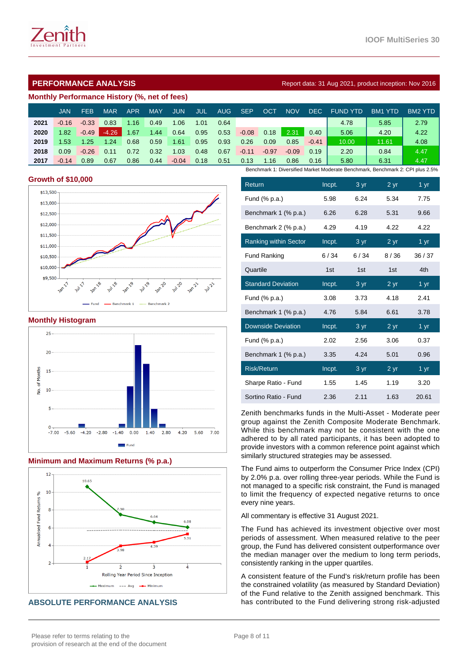

# **Monthly Performance History (%, net of fees)**

|      | <b>JAN</b>                                                                     | FEB     | MAR     | <b>APR</b> | <b>MAY</b> | <b>JUN</b> | JUL  | <b>AUG</b> | <b>SEP</b> | OCT     | <b>NOV</b> | DEC.    | <b>FUND YTD</b> | BM <sub>1</sub><br>YTD. | BM2 YTD |
|------|--------------------------------------------------------------------------------|---------|---------|------------|------------|------------|------|------------|------------|---------|------------|---------|-----------------|-------------------------|---------|
| 2021 | $-0.16$                                                                        | $-0.33$ | 0.83    | 1.16       | 0.49       | 1.06       | 1.01 | 0.64       |            |         |            |         | 4.78            | 5.85                    | 2.79    |
| 2020 | 1.82                                                                           | $-0.49$ | $-4.26$ | 1.67       | 1.44       | 0.64       | 0.95 | 0.53       | $-0.08$    | 0.18    | 2.31       | 0.40    | 5.06            | 4.20                    | 4.22    |
| 2019 | 1.53                                                                           | 1.25    | 1.24    | 0.68       | 0.59       | 1.61       | 0.95 | 0.93       | 0.26       | 0.09    | 0.85       | $-0.41$ | 10.00           | 11.61                   | 4.08    |
| 2018 | 0.09                                                                           | $-0.26$ | 0.11    | 0.72       | 0.32       | 1.03       | 0.48 | 0.67       | $-0.11$    | $-0.97$ | $-0.09$    | 0.19    | 2.20            | 0.84                    | 4.47    |
| 2017 | $-0.14$                                                                        | 0.89    | 0.67    | 0.86       | 0.44       | $-0.04$    | 0.18 | 0.51       | 0.13       | 1.16    | 0.86       | 0.16    | 5.80            | 6.31                    | 4.47    |
|      | Benchmark 1: Diversified Market Moderate Benchmark, Benchmark 2: CPI plus 2.5% |         |         |            |            |            |      |            |            |         |            |         |                 |                         |         |

#### **Growth of \$10,000**



#### **Monthly Histogram**



# **Minimum and Maximum Returns (% p.a.)**



# **ABSOLUTE PERFORMANCE ANALYSIS**

| Return                       | Incpt. | 3 yr | 2 <sub>yr</sub> | 1 <sub>yr</sub>          |
|------------------------------|--------|------|-----------------|--------------------------|
| Fund (% p.a.)                | 5.98   | 6.24 | 5.34            | 7.75                     |
| Benchmark 1 (% p.a.)         | 6.26   | 6.28 | 5.31            | 9.66                     |
| Benchmark 2 (% p.a.)         | 4.29   | 4.19 | 4.22            | 4.22                     |
| <b>Ranking within Sector</b> | Incpt. | 3 yr | 2 <sub>yr</sub> | $1 \overline{\text{yr}}$ |
| <b>Fund Ranking</b>          | 6/34   | 6/34 | 8/36            | 36/37                    |
| Quartile                     | 1st    | 1st  | 1st             | 4th                      |
| <b>Standard Deviation</b>    | Incpt. | 3 yr | 2 <sub>yr</sub> | 1 yr                     |
| Fund (% p.a.)                | 3.08   | 3.73 | 4.18            | 2.41                     |
| Benchmark 1 (% p.a.)         | 4.76   | 5.84 | 6.61            | 3.78                     |
| <b>Downside Deviation</b>    | Incpt. | 3 yr | 2 <sub>yr</sub> | $1 \overline{yr}$        |
| Fund (% p.a.)                | 2.02   | 2.56 | 3.06            | 0.37                     |
| Benchmark 1 (% p.a.)         | 3.35   | 4.24 | 5.01            | 0.96                     |
| <b>Risk/Return</b>           | Incpt. | 3 yr | 2 <sub>yr</sub> | 1 <sub>yr</sub>          |
| Sharpe Ratio - Fund          | 1.55   | 1.45 | 1.19            | 3.20                     |
| Sortino Ratio - Fund         | 2.36   | 2.11 | 1.63            | 20.61                    |

Zenith benchmarks funds in the Multi-Asset - Moderate peer group against the Zenith Composite Moderate Benchmark. While this benchmark may not be consistent with the one adhered to by all rated participants, it has been adopted to provide investors with a common reference point against which similarly structured strategies may be assessed.

The Fund aims to outperform the Consumer Price Index (CPI) by 2.0% p.a. over rolling three-year periods. While the Fund is not managed to a specific risk constraint, the Fund is managed to limit the frequency of expected negative returns to once every nine years.

All commentary is effective 31 August 2021.

The Fund has achieved its investment objective over most periods of assessment. When measured relative to the peer group, the Fund has delivered consistent outperformance over the median manager over the medium to long term periods, consistently ranking in the upper quartiles.

A consistent feature of the Fund's risk/return profile has been the constrained volatility (as measured by Standard Deviation) of the Fund relative to the Zenith assigned benchmark. This has contributed to the Fund delivering strong risk-adjusted

# **PERFORMANCE ANALYSIS Report data: 31 Aug 2021, product inception: Nov 2016**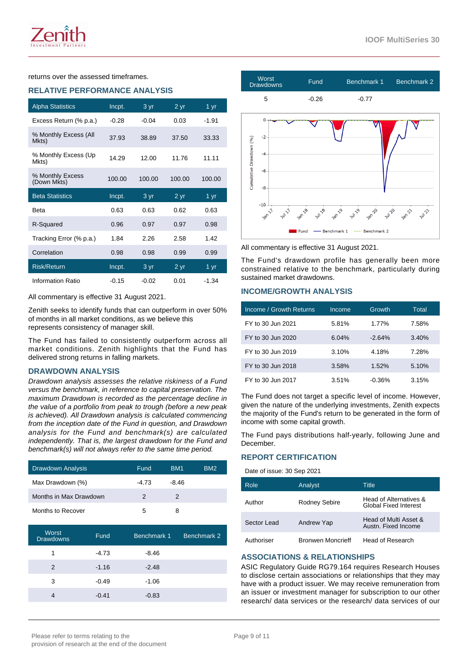returns over the assessed timeframes.

#### **RELATIVE PERFORMANCE ANALYSIS**

| <b>Alpha Statistics</b>         | Incpt.  | 3 yr    | 2 yr            | 1 yr              |
|---------------------------------|---------|---------|-----------------|-------------------|
| Excess Return (% p.a.)          | $-0.28$ | $-0.04$ | 0.03            | $-1.91$           |
| % Monthly Excess (All<br>Mkts)  | 37.93   | 38.89   | 37.50           | 33.33             |
| % Monthly Excess (Up)<br>Mkts)  | 14.29   | 12.00   | 11.76           | 11.11             |
| % Monthly Excess<br>(Down Mkts) | 100.00  | 100.00  | 100.00          | 100.00            |
| <b>Beta Statistics</b>          | Incpt.  | 3 yr    | 2 yr            | 1 $\overline{yr}$ |
| <b>Beta</b>                     | 0.63    | 0.63    | 0.62            | 0.63              |
| R-Squared                       | 0.96    | 0.97    | 0.97            | 0.98              |
| Tracking Error (% p.a.)         | 1.84    | 2.26    | 2.58            | 1.42              |
| Correlation                     | 0.98    | 0.98    | 0.99            | 0.99              |
| <b>Risk/Return</b>              | Incpt.  | 3 yr    | 2 <sub>yr</sub> | 1 yr              |
|                                 |         |         |                 |                   |

All commentary is effective 31 August 2021.

Zenith seeks to identify funds that can outperform in over 50% of months in all market conditions, as we believe this represents consistency of manager skill.

The Fund has failed to consistently outperform across all market conditions. Zenith highlights that the Fund has delivered strong returns in falling markets.

#### **DRAWDOWN ANALYSIS**

Drawdown analysis assesses the relative riskiness of a Fund versus the benchmark, in reference to capital preservation. The maximum Drawdown is recorded as the percentage decline in the value of a portfolio from peak to trough (before a new peak is achieved). All Drawdown analysis is calculated commencing from the inception date of the Fund in question, and Drawdown analysis for the Fund and benchmark(s) are calculated independently. That is, the largest drawdown for the Fund and benchmark(s) will not always refer to the same time period.

| <b>Drawdown Analysis</b> | Fund          | BM <sub>1</sub> | BM <sub>2</sub> |
|--------------------------|---------------|-----------------|-----------------|
| Max Drawdown (%)         | -4.73         | $-8.46$         |                 |
| Months in Max Drawdown   | $\mathcal{P}$ | 2               |                 |
| Months to Recover        | 5             | 8               |                 |

| Worst<br><b>Drawdowns</b> | Fund    | Benchmark 1 | Benchmark 2 |
|---------------------------|---------|-------------|-------------|
| 1                         | $-4.73$ | $-8.46$     |             |
| 2                         | $-1.16$ | $-2.48$     |             |
| 3                         | $-0.49$ | $-1.06$     |             |
|                           | $-0.41$ | $-0.83$     |             |



All commentary is effective 31 August 2021.

The Fund's drawdown profile has generally been more constrained relative to the benchmark, particularly during sustained market drawdowns.

#### **INCOME/GROWTH ANALYSIS**

| Income / Growth Returns | Income | Growth   | Total |
|-------------------------|--------|----------|-------|
| FY to 30 Jun 2021       | 5.81%  | 1.77%    | 7.58% |
| FY to 30 Jun 2020       | 6.04%  | $-2.64%$ | 3.40% |
| FY to 30 Jun 2019       | 3.10%  | 4.18%    | 7.28% |
| FY to 30 Jun 2018       | 3.58%  | 1.52%    | 5.10% |
| FY to 30 Jun 2017       | 3.51%  | $-0.36%$ | 3.15% |

The Fund does not target a specific level of income. However, given the nature of the underlying investments, Zenith expects the majority of the Fund's return to be generated in the form of income with some capital growth.

The Fund pays distributions half-yearly, following June and December.

#### **REPORT CERTIFICATION**

Date of issue: 30 Sep 2021

| Role        | Analyst                  | Title                                           |
|-------------|--------------------------|-------------------------------------------------|
| Author      | Rodney Sebire            | Head of Alternatives &<br>Global Fixed Interest |
| Sector Lead | Andrew Yap               | Head of Multi Asset &<br>Austn. Fixed Income    |
| Authoriser  | <b>Bronwen Moncrieff</b> | Head of Research                                |

#### **ASSOCIATIONS & RELATIONSHIPS**

ASIC Regulatory Guide RG79.164 requires Research Houses to disclose certain associations or relationships that they may have with a product issuer. We may receive remuneration from an issuer or investment manager for subscription to our other research/ data services or the research/ data services of our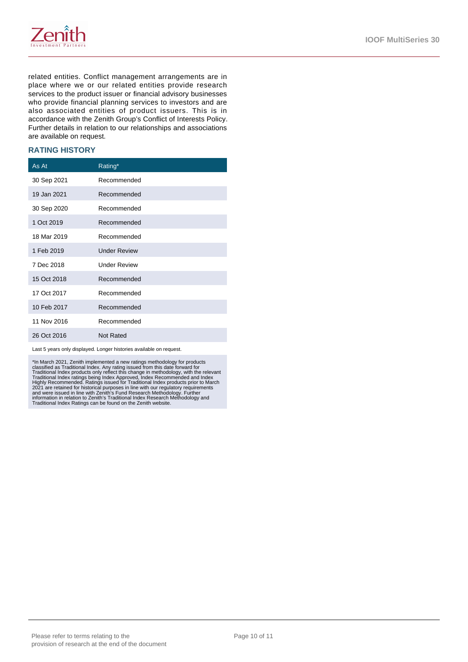

related entities. Conflict management arrangements are in place where we or our related entities provide research services to the product issuer or financial advisory businesses who provide financial planning services to investors and are also associated entities of product issuers. This is in accordance with the Zenith Group's Conflict of Interests Policy. Further details in relation to our relationships and associations are available on request.

#### **RATING HISTORY**

| As At       | Rating*             |
|-------------|---------------------|
| 30 Sep 2021 | Recommended         |
| 19 Jan 2021 | Recommended         |
| 30 Sep 2020 | Recommended         |
| 1 Oct 2019  | Recommended         |
| 18 Mar 2019 | Recommended         |
| 1 Feb 2019  | <b>Under Review</b> |
| 7 Dec 2018  | <b>Under Review</b> |
| 15 Oct 2018 | Recommended         |
| 17 Oct 2017 | Recommended         |
| 10 Feb 2017 | Recommended         |
| 11 Nov 2016 | Recommended         |
| 26 Oct 2016 | Not Rated           |

Last 5 years only displayed. Longer histories available on request.

\*In March 2021, Zenith implemented a new ratings methodology for products<br>classified as Traditional Index. Any rating issued from this date forward for<br>Traditional Index roducts only reflect this change in methodology, wit